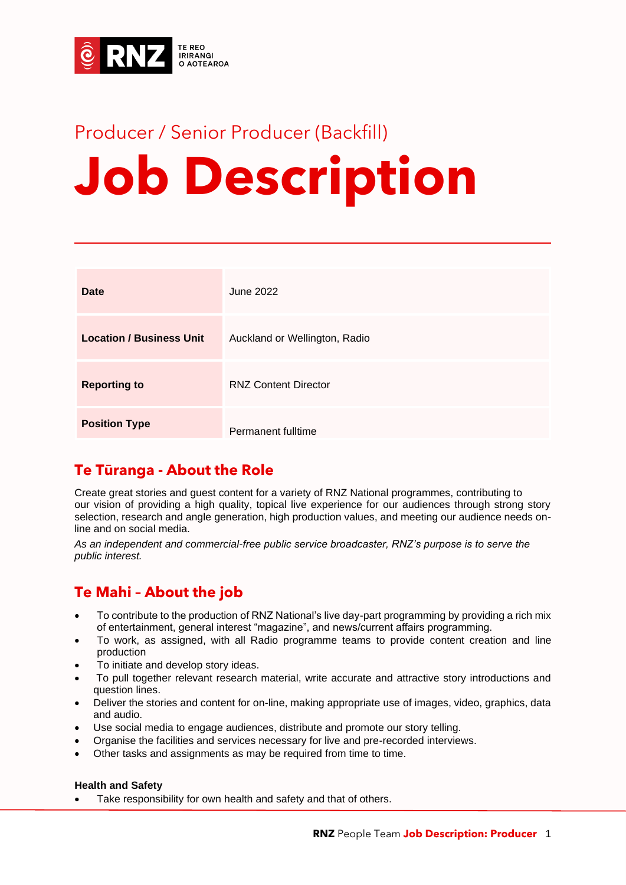

## Producer / Senior Producer (Backfill) **Job Description**

| Date                            | June 2022                     |
|---------------------------------|-------------------------------|
| <b>Location / Business Unit</b> | Auckland or Wellington, Radio |
| <b>Reporting to</b>             | <b>RNZ Content Director</b>   |
| <b>Position Type</b>            | Permanent fulltime            |

## **Te Tūranga - About the Role**

Create great stories and guest content for a variety of RNZ National programmes, contributing to our vision of providing a high quality, topical live experience for our audiences through strong story selection, research and angle generation, high production values, and meeting our audience needs online and on social media.

*As an independent and commercial-free public service broadcaster, RNZ's purpose is to serve the public interest.*

## **Te Mahi – About the job**

- To contribute to the production of RNZ National's live day-part programming by providing a rich mix of entertainment, general interest "magazine", and news/current affairs programming.
- To work, as assigned, with all Radio programme teams to provide content creation and line production
- To initiate and develop story ideas.
- To pull together relevant research material, write accurate and attractive story introductions and question lines.
- Deliver the stories and content for on-line, making appropriate use of images, video, graphics, data and audio.
- Use social media to engage audiences, distribute and promote our story telling.
- Organise the facilities and services necessary for live and pre-recorded interviews.
- Other tasks and assignments as may be required from time to time.

#### **Health and Safety**

Take responsibility for own health and safety and that of others.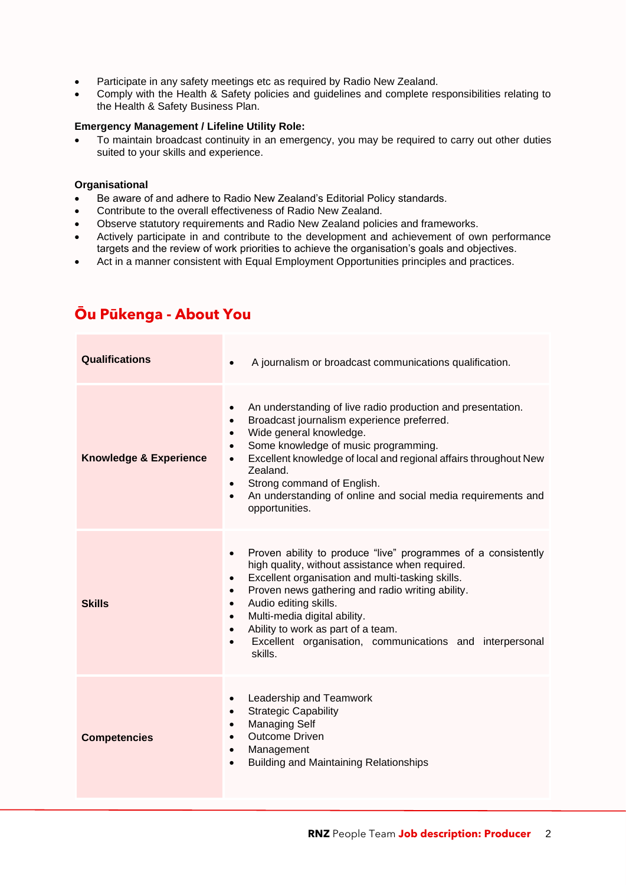- Participate in any safety meetings etc as required by Radio New Zealand.
- Comply with the Health & Safety policies and guidelines and complete responsibilities relating to the Health & Safety Business Plan.

#### **Emergency Management / Lifeline Utility Role:**

• To maintain broadcast continuity in an emergency, you may be required to carry out other duties suited to your skills and experience.

#### **Organisational**

- Be aware of and adhere to Radio New Zealand's Editorial Policy standards.
- Contribute to the overall effectiveness of Radio New Zealand.
- Observe statutory requirements and Radio New Zealand policies and frameworks.
- Actively participate in and contribute to the development and achievement of own performance targets and the review of work priorities to achieve the organisation's goals and objectives.
- Act in a manner consistent with Equal Employment Opportunities principles and practices.

| <b>Qualifications</b>             | A journalism or broadcast communications qualification.<br>$\bullet$                                                                                                                                                                                                                                                                                                                                                                                                                      |  |
|-----------------------------------|-------------------------------------------------------------------------------------------------------------------------------------------------------------------------------------------------------------------------------------------------------------------------------------------------------------------------------------------------------------------------------------------------------------------------------------------------------------------------------------------|--|
| <b>Knowledge &amp; Experience</b> | An understanding of live radio production and presentation.<br>$\bullet$<br>Broadcast journalism experience preferred.<br>٠<br>Wide general knowledge.<br>$\bullet$<br>Some knowledge of music programming.<br>$\bullet$<br>Excellent knowledge of local and regional affairs throughout New<br>$\bullet$<br>Zealand.<br>Strong command of English.<br>$\bullet$<br>An understanding of online and social media requirements and<br>$\bullet$<br>opportunities.                           |  |
| Skills                            | Proven ability to produce "live" programmes of a consistently<br>$\bullet$<br>high quality, without assistance when required.<br>Excellent organisation and multi-tasking skills.<br>$\bullet$<br>Proven news gathering and radio writing ability.<br>$\bullet$<br>Audio editing skills.<br>$\bullet$<br>Multi-media digital ability.<br>$\bullet$<br>Ability to work as part of a team.<br>$\bullet$<br>Excellent organisation, communications and interpersonal<br>$\bullet$<br>skills. |  |
| <b>Competencies</b>               | Leadership and Teamwork<br>$\bullet$<br><b>Strategic Capability</b><br>$\bullet$<br><b>Managing Self</b><br>$\bullet$<br><b>Outcome Driven</b><br>Management<br>$\bullet$<br><b>Building and Maintaining Relationships</b><br>$\bullet$                                                                                                                                                                                                                                                   |  |

## **Ōu Pūkenga - About You**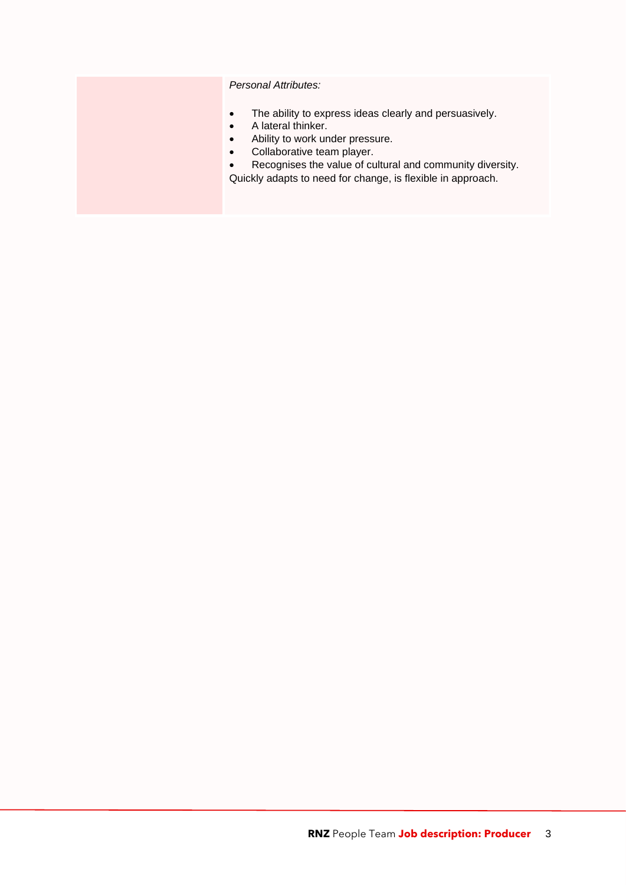*Personal Attributes:*

- The ability to express ideas clearly and persuasively.
- A lateral thinker.
- Ability to work under pressure.
- Collaborative team player.
- Recognises the value of cultural and community diversity.
- Quickly adapts to need for change, is flexible in approach.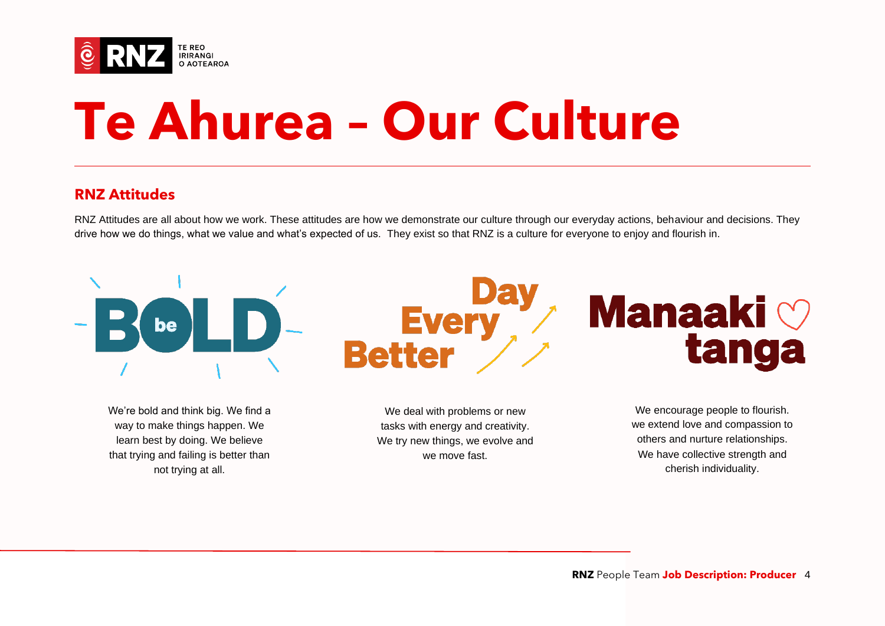

# **Te Ahurea – Our Culture**

### **RNZ Attitudes**

RNZ Attitudes are all about how we work. These attitudes are how we demonstrate our culture through our everyday actions, behaviour and decisions. They drive how we do things, what we value and what's expected of us. They exist so that RNZ is a culture for everyone to enjoy and flourish in.



way to make things happen. We learn best by doing. We believe that trying and failing is better than not trying at all.

We deal with problems or new tasks with energy and creativity. We try new things, we evolve and we move fast.

We encourage people to flourish. we extend love and compassion to others and nurture relationships. We have collective strength and cherish individuality.